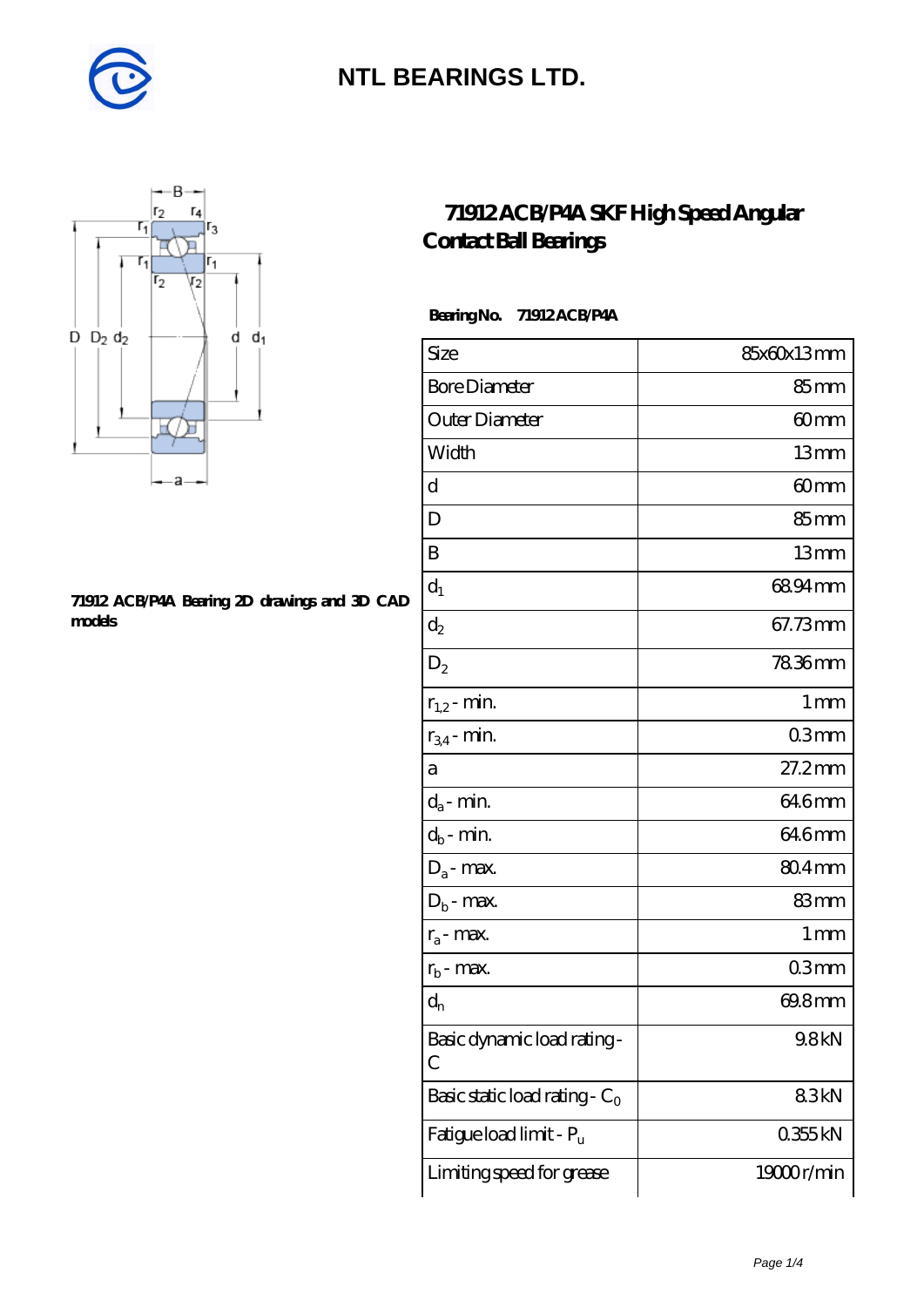



#### **[71912 ACB/P4A Bearing 2D drawings and 3D CAD](https://diabetesfriends.net/pic-590675.html) [models](https://diabetesfriends.net/pic-590675.html)**

#### **[71912 ACB/P4A SKF High Speed Angular](https://diabetesfriends.net/skf-bearing/71912-acb-p4a.html) [Contact Ball Bearings](https://diabetesfriends.net/skf-bearing/71912-acb-p4a.html)**

 **Bearing No. 71912 ACB/P4A**

| Size                             | 85x60x13mm       |
|----------------------------------|------------------|
| <b>Bore Diameter</b>             | 85mm             |
| Outer Diameter                   | 60mm             |
| Width                            | 13mm             |
| $\mathbf d$                      | 60 <sub>mm</sub> |
| D                                | 85mm             |
| B                                | 13mm             |
| $d_1$                            | 6894mm           |
| $\mathrm{d}_2$                   | 67.73mm          |
| $D_2$                            | 7836mm           |
| $r_{1,2}$ - min.                 | 1 <sub>mm</sub>  |
| $r_{34}$ - min.                  | 03mm             |
| а                                | $27.2$ mm        |
| $d_a$ - min.                     | 64.6mm           |
| $d_b$ - min.                     | 64.6mm           |
| $D_a$ - max.                     | $804$ mm         |
| $D_b$ - max.                     | 83mm             |
| $r_a$ - max.                     | 1 mm             |
| $r_{b}$ - max.                   | 03mm             |
| $\mathrm{d}_{\mathrm{n}}$        | 69.8mm           |
| Basic dynamic load rating-<br>С  | 9.8kN            |
| Basic static load rating - $C_0$ | 83kN             |
| Fatigue load limit - Pu          | 0355kN           |
| Limiting speed for grease        | 19000r/min       |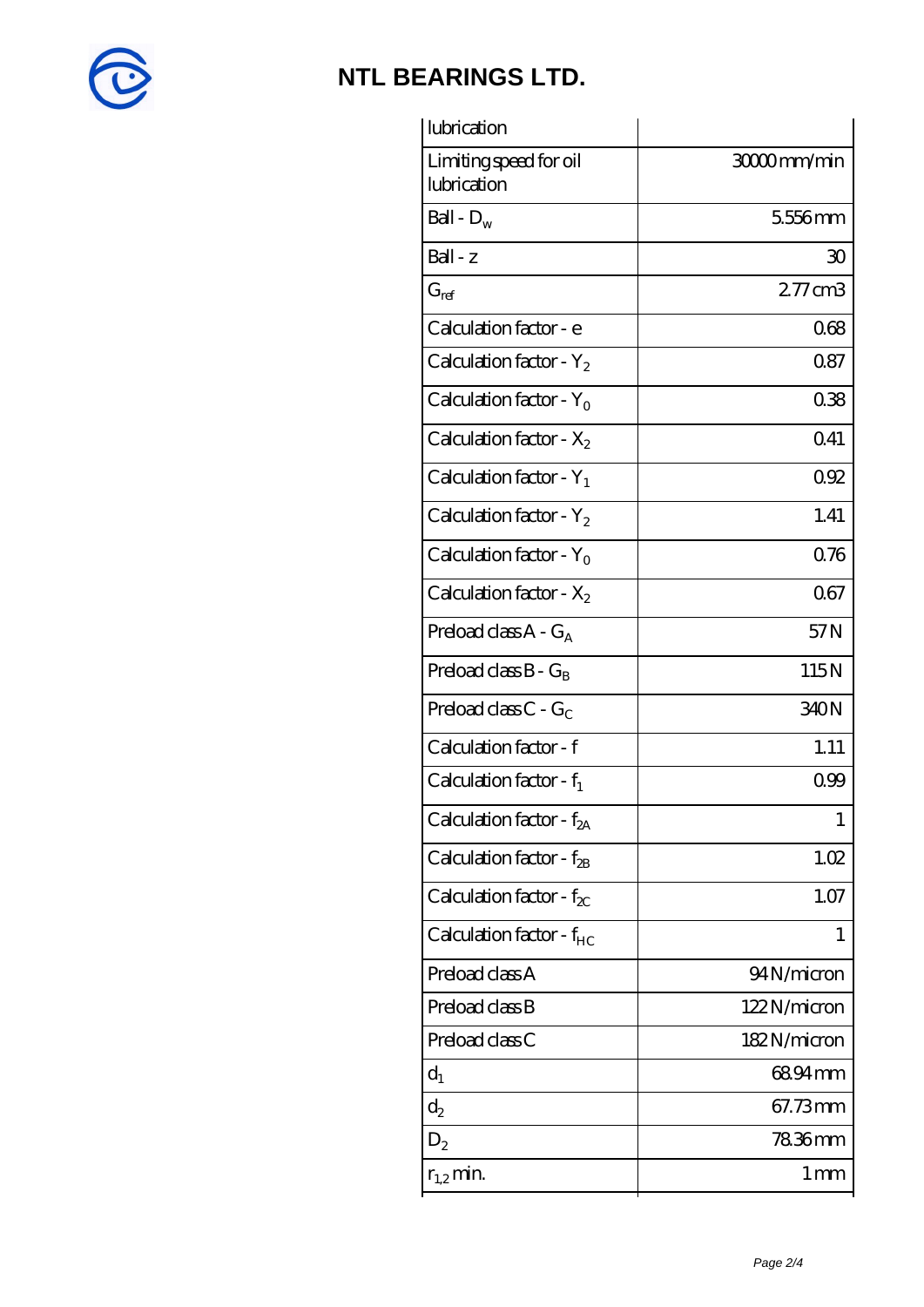

| lubrication                           |                   |
|---------------------------------------|-------------------|
| Limiting speed for oil<br>lubrication | 3000mm/min        |
| Ball - $D_w$                          | 5556mm            |
| Ball - z                              | 30                |
| $G_{ref}$                             | 277cm3            |
| Calculation factor - e                | 068               |
| Calculation factor - $Y_2$            | 0.87              |
| Calculation factor - $Y_0$            | 038               |
| Calculation factor - $X_2$            | 0.41              |
| Calculation factor - $Y_1$            | 092               |
| Calculation factor - $Y_2$            | 1.41              |
| Calculation factor - $Y_0$            | 0.76              |
| Calculation factor - $X_2$            | 067               |
| Preload class $A - G_A$               | 57N               |
| Preload class $B - G_B$               | 115N              |
| Preload class $C - G_C$               | 340N              |
| Calculation factor - f                | 1.11              |
| Calculation factor - $f_1$            | 099               |
| Calculation factor - f <sub>2A</sub>  | 1                 |
| Calculation factor - $f_{2B}$         | 1.02              |
| Calculation factor - $f_{\chi}$       | 1.07              |
| Calculation factor - f <sub>HC</sub>  | 1                 |
| Preload class A                       | 94N/micron        |
| Preload class B                       | 122N/micron       |
| Preload class C                       | 182N/micron       |
| $d_1$                                 | 68.94mm           |
| $d_2$                                 | 67.73mm           |
| $D_2$                                 | 78.36mm           |
| $r_{1,2}$ min.                        | $1 \,\mathrm{mm}$ |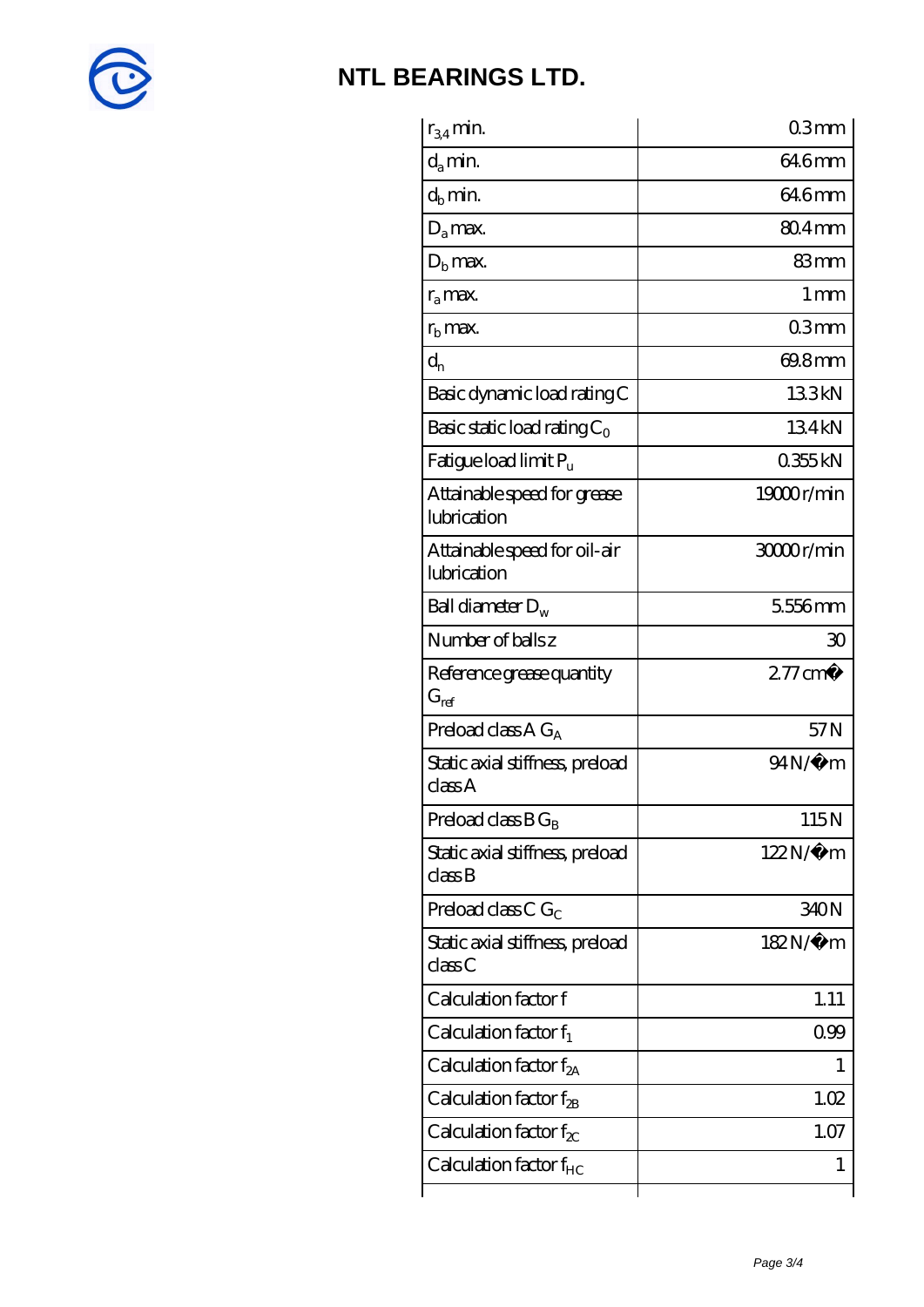

| $r_{34}$ min.                               | 03mm               |
|---------------------------------------------|--------------------|
| $d_a$ min.                                  | 64.6mm             |
| $d_h$ min.                                  | 64.6mm             |
| $D_a$ max.                                  | $804 \text{mm}$    |
| $Db$ max.                                   | 83mm               |
| $r_a$ max.                                  | $1 \,\mathrm{mm}$  |
| $r_{\rm b}$ max.                            | 03mm               |
| $d_{n}$                                     | 69.8mm             |
| Basic dynamic load rating C                 | 133kN              |
| Basic static load rating $C_0$              | 134kN              |
| Fatigue load limit Pu                       | 0355kN             |
| Attainable speed for grease<br>lubrication  | 19000r/min         |
| Attainable speed for oil-air<br>lubrication | 30000r/min         |
| Ball diameter $D_w$                         | 5556mm             |
| Number of balls z                           | 30                 |
| Reference grease quantity<br>$G_{ref}$      | $277 \text{ cm}^3$ |
| Preload class A $G_A$                       | 57N                |
| Static axial stiffness, preload<br>classA   | $94N/\mu$ m        |
| Preload class $B G_B$                       | 115N               |
| Static axial stiffness, preload<br>classB   | $122N/\mu$ m       |
| Preload class C $G_C$                       | 340N               |
| Static axial stiffness, preload<br>classC   | 182N/μ m           |
| Calculation factor f                        | 1.11               |
| Calculation factor $f_1$                    | 0.99               |
| Calculation factor $f_{2A}$                 | L                  |
| Calculation factor $f_{\rm 2B}$             | 1.02               |
| Calculation factor $f_{\chi}$               | 1.07               |
| Calculation factor $f_{HC}$                 | 1                  |
|                                             |                    |